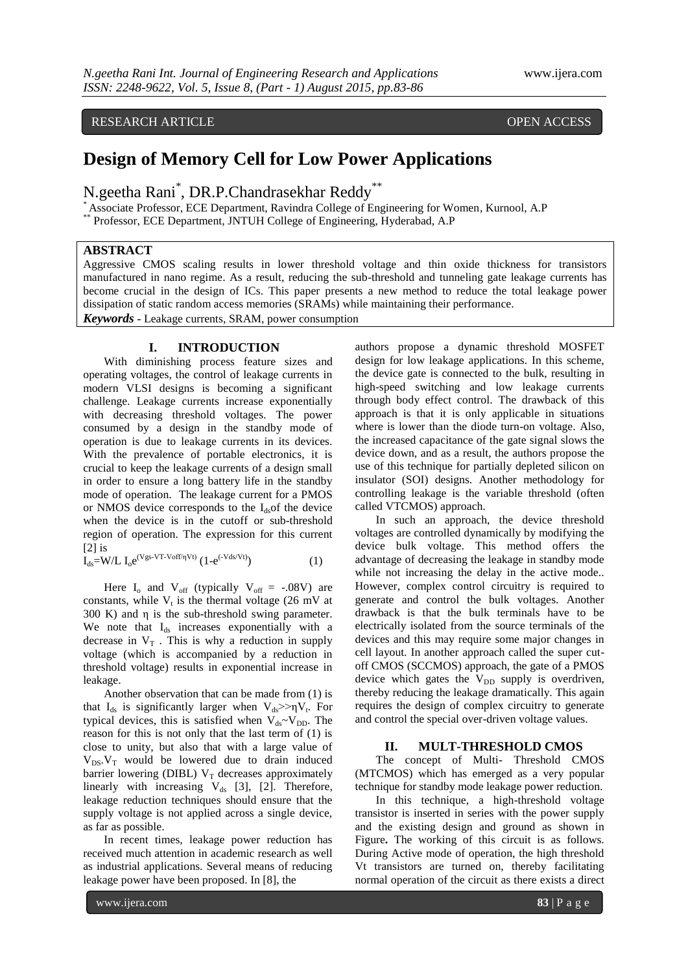RESEARCH ARTICLE OPEN ACCESS

# **Design of Memory Cell for Low Power Applications**

N.geetha Rani\* , DR.P.Chandrasekhar Reddy\*\*

\* Associate Professor, ECE Department, Ravindra College of Engineering for Women, Kurnool, A.P

\*\* Professor, ECE Department, JNTUH College of Engineering, Hyderabad, A.P

### **ABSTRACT**

Aggressive CMOS scaling results in lower threshold voltage and thin oxide thickness for transistors manufactured in nano regime. As a result, reducing the sub-threshold and tunneling gate leakage currents has become crucial in the design of ICs. This paper presents a new method to reduce the total leakage power dissipation of static random access memories (SRAMs) while maintaining their performance. *Keywords* **-** Leakage currents, SRAM, power consumption

## **I. INTRODUCTION**

With diminishing process feature sizes and operating voltages, the control of leakage currents in modern VLSI designs is becoming a significant challenge. Leakage currents increase exponentially with decreasing threshold voltages. The power consumed by a design in the standby mode of operation is due to leakage currents in its devices. With the prevalence of portable electronics, it is crucial to keep the leakage currents of a design small in order to ensure a long battery life in the standby mode of operation. The leakage current for a PMOS or NMOS device corresponds to the  $I_{ds}$  of the device when the device is in the cutoff or sub-threshold region of operation. The expression for this current [2] is

$$
I_{ds} = W/L I_0 e^{(Vgs-VT-Voff/\eta Vt)} (1 - e^{(-Vds/Vt)})
$$
 (1)

Here  $I_0$  and  $V_{off}$  (typically  $V_{off}$  = -.08V) are constants, while  $V_t$  is the thermal voltage (26 mV at 300 K) and  $\eta$  is the sub-threshold swing parameter. We note that I<sub>ds</sub> increases exponentially with a decrease in  $V_T$ . This is why a reduction in supply voltage (which is accompanied by a reduction in threshold voltage) results in exponential increase in leakage.

Another observation that can be made from (1) is that  $I_{ds}$  is significantly larger when  $V_{ds} \gg \eta V_t$ . For typical devices, this is satisfied when  $V_{ds}$  $\sim$  $V_{DD}$ . The reason for this is not only that the last term of (1) is close to unity, but also that with a large value of  $V_{DS}$ . $V_T$  would be lowered due to drain induced barrier lowering (DIBL)  $V_T$  decreases approximately linearly with increasing  $V_{ds}$  [3], [2]. Therefore, leakage reduction techniques should ensure that the supply voltage is not applied across a single device, as far as possible.

In recent times, leakage power reduction has received much attention in academic research as well as industrial applications. Several means of reducing leakage power have been proposed. In [8], the

authors propose a dynamic threshold MOSFET design for low leakage applications. In this scheme, the device gate is connected to the bulk, resulting in high-speed switching and low leakage currents through body effect control. The drawback of this approach is that it is only applicable in situations where is lower than the diode turn-on voltage. Also, the increased capacitance of the gate signal slows the device down, and as a result, the authors propose the use of this technique for partially depleted silicon on insulator (SOI) designs. Another methodology for controlling leakage is the variable threshold (often called VTCMOS) approach.

In such an approach, the device threshold voltages are controlled dynamically by modifying the device bulk voltage. This method offers the advantage of decreasing the leakage in standby mode while not increasing the delay in the active mode.. However, complex control circuitry is required to generate and control the bulk voltages. Another drawback is that the bulk terminals have to be electrically isolated from the source terminals of the devices and this may require some major changes in cell layout. In another approach called the super cutoff CMOS (SCCMOS) approach, the gate of a PMOS device which gates the  $V_{DD}$  supply is overdriven, thereby reducing the leakage dramatically. This again requires the design of complex circuitry to generate and control the special over-driven voltage values.

### **II. MULT-THRESHOLD CMOS**

The concept of Multi- Threshold CMOS (MTCMOS) which has emerged as a very popular technique for standby mode leakage power reduction.

In this technique, a high-threshold voltage transistor is inserted in series with the power supply and the existing design and ground as shown in Figure**.** The working of this circuit is as follows. During Active mode of operation, the high threshold Vt transistors are turned on, thereby facilitating normal operation of the circuit as there exists a direct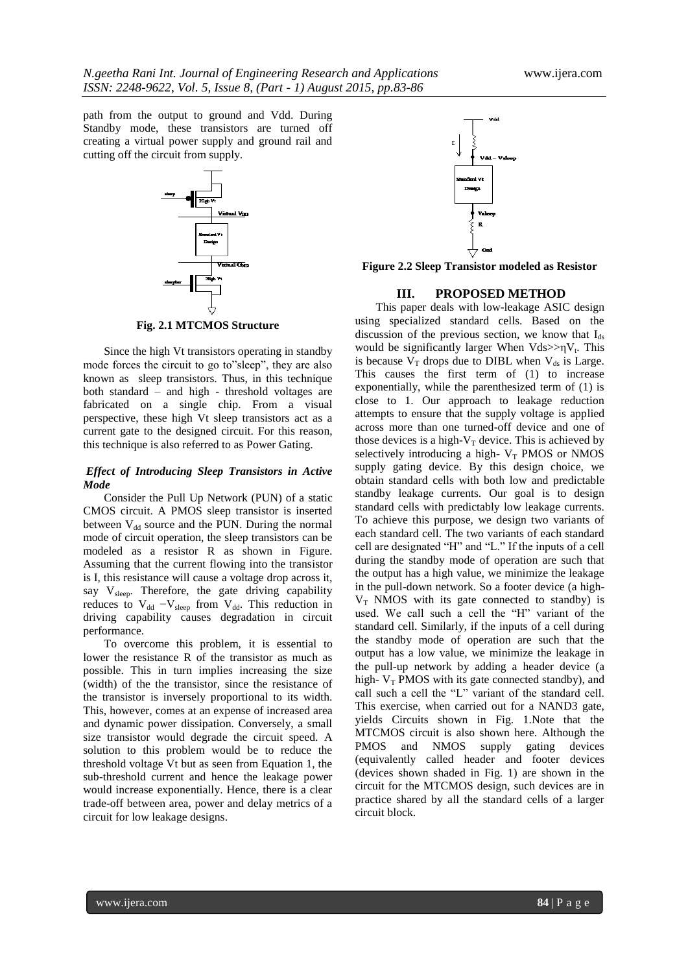path from the output to ground and Vdd. During Standby mode, these transistors are turned off creating a virtual power supply and ground rail and cutting off the circuit from supply.



**Fig. 2.1 MTCMOS Structure**

Since the high Vt transistors operating in standby mode forces the circuit to go to"sleep", they are also known as sleep transistors. Thus, in this technique both standard – and high - threshold voltages are fabricated on a single chip. From a visual perspective, these high Vt sleep transistors act as a current gate to the designed circuit. For this reason, this technique is also referred to as Power Gating.

### *Effect of Introducing Sleep Transistors in Active Mode*

Consider the Pull Up Network (PUN) of a static CMOS circuit. A PMOS sleep transistor is inserted between  $V_{dd}$  source and the PUN. During the normal mode of circuit operation, the sleep transistors can be modeled as a resistor R as shown in Figure. Assuming that the current flowing into the transistor is I, this resistance will cause a voltage drop across it, say V<sub>sleep</sub>. Therefore, the gate driving capability reduces to  $V_{dd} - V_{sleep}$  from  $V_{dd}$ . This reduction in driving capability causes degradation in circuit performance.

To overcome this problem, it is essential to lower the resistance R of the transistor as much as possible. This in turn implies increasing the size (width) of the the transistor, since the resistance of the transistor is inversely proportional to its width. This, however, comes at an expense of increased area and dynamic power dissipation. Conversely, a small size transistor would degrade the circuit speed. A solution to this problem would be to reduce the threshold voltage Vt but as seen from Equation 1, the sub-threshold current and hence the leakage power would increase exponentially. Hence, there is a clear trade-off between area, power and delay metrics of a circuit for low leakage designs.



**Figure 2.2 Sleep Transistor modeled as Resistor**

### **III. PROPOSED METHOD**

This paper deals with low-leakage ASIC design using specialized standard cells. Based on the discussion of the previous section, we know that  $I_{ds}$ would be significantly larger When  $Vds \gg \eta V_t$ . This is because  $V_T$  drops due to DIBL when  $V_{ds}$  is Large. This causes the first term of (1) to increase exponentially, while the parenthesized term of (1) is close to 1. Our approach to leakage reduction attempts to ensure that the supply voltage is applied across more than one turned-off device and one of those devices is a high- $V_T$  device. This is achieved by selectively introducing a high- $V_T$  PMOS or NMOS supply gating device. By this design choice, we obtain standard cells with both low and predictable standby leakage currents. Our goal is to design standard cells with predictably low leakage currents. To achieve this purpose, we design two variants of each standard cell. The two variants of each standard cell are designated "H" and "L." If the inputs of a cell during the standby mode of operation are such that the output has a high value, we minimize the leakage in the pull-down network. So a footer device (a high- $V_T$  NMOS with its gate connected to standby) is used. We call such a cell the "H" variant of the standard cell. Similarly, if the inputs of a cell during the standby mode of operation are such that the output has a low value, we minimize the leakage in the pull-up network by adding a header device (a high-  $V_T$  PMOS with its gate connected standby), and call such a cell the "L" variant of the standard cell. This exercise, when carried out for a NAND3 gate, yields Circuits shown in Fig. 1.Note that the MTCMOS circuit is also shown here. Although the<br>PMOS and NMOS supply gating devices PMOS and NMOS supply gating devices (equivalently called header and footer devices (devices shown shaded in Fig. 1) are shown in the circuit for the MTCMOS design, such devices are in practice shared by all the standard cells of a larger circuit block.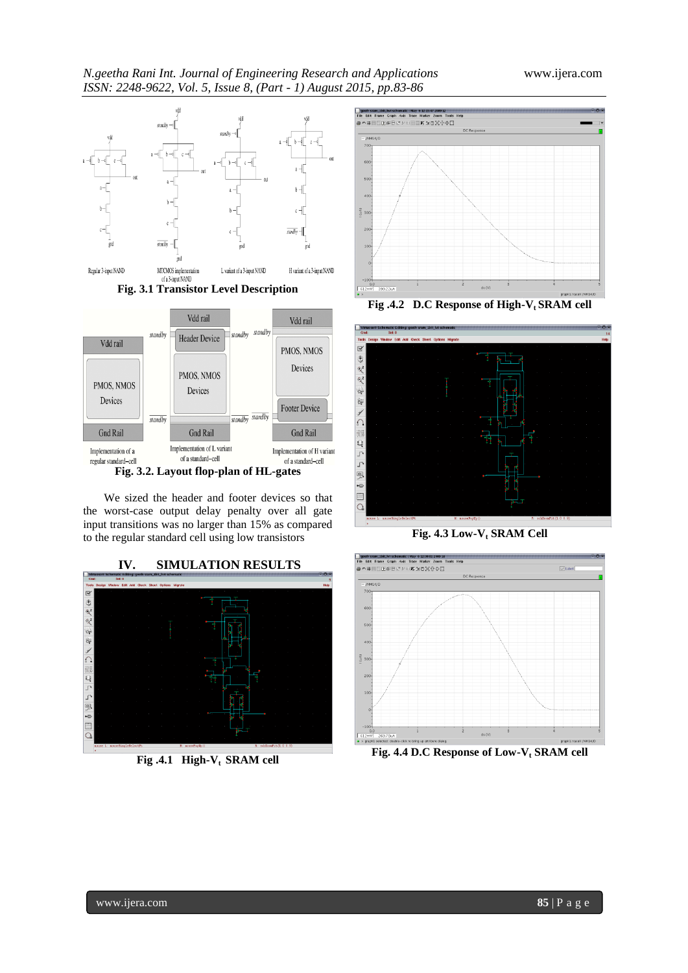







We sized the header and footer devices so that the worst-case output delay penalty over all gate input transitions was no larger than 15% as compared to the regular standard cell using low transistors

# **IV. SIMULATION RESULTS** 金叉叉の けいしん かんくど

**Fig .4.1 High-Vt SRAM cell**



**Fig .4.2 D.C Response of High-Vt SRAM cell**



**Fig. 4.3 Low-V<sup>t</sup> SRAM Cell**



**Fig. 4.4 D.C Response of Low-V<sup>t</sup> SRAM cell**